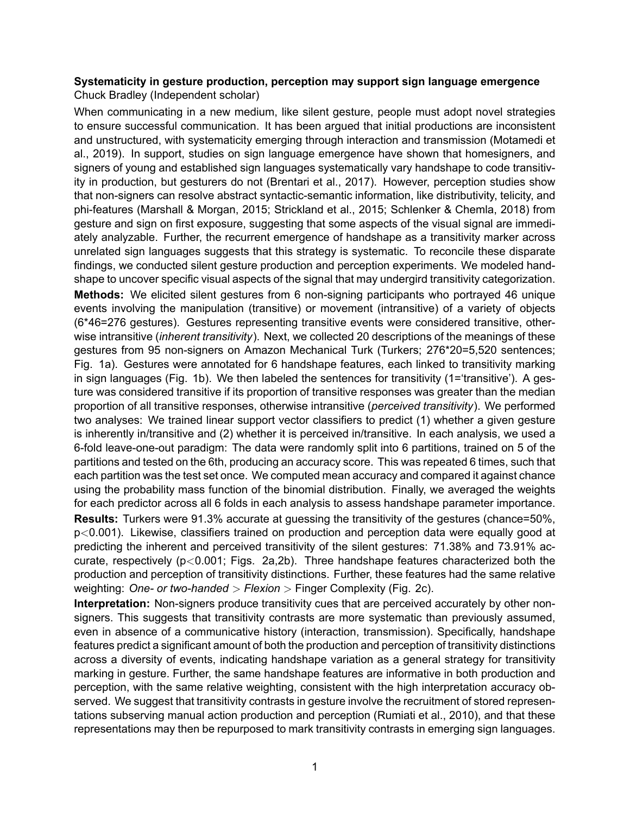## **Systematicity in gesture production, perception may support sign language emergence** Chuck Bradley (Independent scholar)

When communicating in a new medium, like silent gesture, people must adopt novel strategies to ensure successful communication. It has been argued that initial productions are inconsistent and unstructured, with systematicity emerging through interaction and transmission (Motamedi et al., 2019). In support, studies on sign language emergence have shown that homesigners, and signers of young and established sign languages systematically vary handshape to code transitivity in production, but gesturers do not (Brentari et al., 2017). However, perception studies show that non-signers can resolve abstract syntactic-semantic information, like distributivity, telicity, and phi-features (Marshall & Morgan, 2015; Strickland et al., 2015; Schlenker & Chemla, 2018) from gesture and sign on first exposure, suggesting that some aspects of the visual signal are immediately analyzable. Further, the recurrent emergence of handshape as a transitivity marker across unrelated sign languages suggests that this strategy is systematic. To reconcile these disparate findings, we conducted silent gesture production and perception experiments. We modeled handshape to uncover specific visual aspects of the signal that may undergird transitivity categorization. **Methods:** We elicited silent gestures from 6 non-signing participants who portrayed 46 unique events involving the manipulation (transitive) or movement (intransitive) of a variety of objects (6\*46=276 gestures). Gestures representing transitive events were considered transitive, otherwise intransitive (*inherent transitivity*). Next, we collected 20 descriptions of the meanings of these gestures from 95 non-signers on Amazon Mechanical Turk (Turkers; 276\*20=5,520 sentences; Fig. 1a). Gestures were annotated for 6 handshape features, each linked to transitivity marking in sign languages (Fig. 1b). We then labeled the sentences for transitivity (1='transitive'). A gesture was considered transitive if its proportion of transitive responses was greater than the median proportion of all transitive responses, otherwise intransitive (*perceived transitivity*). We performed two analyses: We trained linear support vector classifiers to predict (1) whether a given gesture is inherently in/transitive and (2) whether it is perceived in/transitive. In each analysis, we used a 6-fold leave-one-out paradigm: The data were randomly split into 6 partitions, trained on 5 of the partitions and tested on the 6th, producing an accuracy score. This was repeated 6 times, such that each partition was the test set once. We computed mean accuracy and compared it against chance using the probability mass function of the binomial distribution. Finally, we averaged the weights for each predictor across all 6 folds in each analysis to assess handshape parameter importance. **Results:** Turkers were 91.3% accurate at guessing the transitivity of the gestures (chance=50%, p*<*0.001). Likewise, classifiers trained on production and perception data were equally good at predicting the inherent and perceived transitivity of the silent gestures: 71.38% and 73.91% accurate, respectively (p*<*0.001; Figs. 2a,2b). Three handshape features characterized both the production and perception of transitivity distinctions. Further, these features had the same relative

weighting: *One- or two-handed > Flexion >* Finger Complexity (Fig. 2c).

**Interpretation:** Non-signers produce transitivity cues that are perceived accurately by other nonsigners. This suggests that transitivity contrasts are more systematic than previously assumed, even in absence of a communicative history (interaction, transmission). Specifically, handshape features predict a significant amount of both the production and perception of transitivity distinctions across a diversity of events, indicating handshape variation as a general strategy for transitivity marking in gesture. Further, the same handshape features are informative in both production and perception, with the same relative weighting, consistent with the high interpretation accuracy observed. We suggest that transitivity contrasts in gesture involve the recruitment of stored representations subserving manual action production and perception (Rumiati et al., 2010), and that these representations may then be repurposed to mark transitivity contrasts in emerging sign languages.